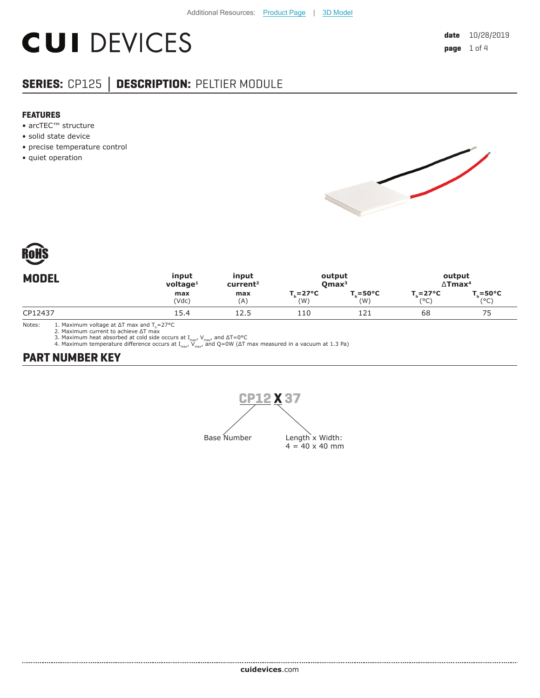# **CUI DEVICES**

# **SERIES:** CP125 **│ DESCRIPTION:** PELTIER MODULE

#### **FEATURES**

- arcTEC™ structure
- solid state device
- precise temperature control
- quiet operation





| <b>MODEL</b> | input                   | input                | output            |                            | output                     |                   |
|--------------|-------------------------|----------------------|-------------------|----------------------------|----------------------------|-------------------|
|              | $v$ oltage <sup>1</sup> | current <sup>2</sup> | Omax <sup>3</sup> |                            | $\Delta$ Tmax <sup>4</sup> |                   |
|              | max                     | max                  | T. = 27°C         | $T_{\rm c} = 50^{\circ}$ C | $T_{\rm c} = 27^{\circ}C$  | $T = 50^{\circ}C$ |
|              | (Vdc)                   | (A)                  | (W)               | (W)                        | (°C)                       | $(^{\circ}C)$     |
| CP12437      | 15.4                    | 12.5                 | 110               | 121                        | 68                         | 75                |

Notes: 1. Maximum voltage at ΔT max and T<sub>h</sub>=27°C<br>2. Maximum current to achieve ΔT max

3. Maximum heat absorbed at cold side occurs at I<sub>max</sub>, V<sub>max</sub>, and ΔT=0°C<br>4. Maximum temperature difference occurs at I<sub>max</sub>, V<sub>max</sub>, and Q=0W (ΔT max measured in a vacuum at 1.3 Pa)

### **PART NUMBER KEY**

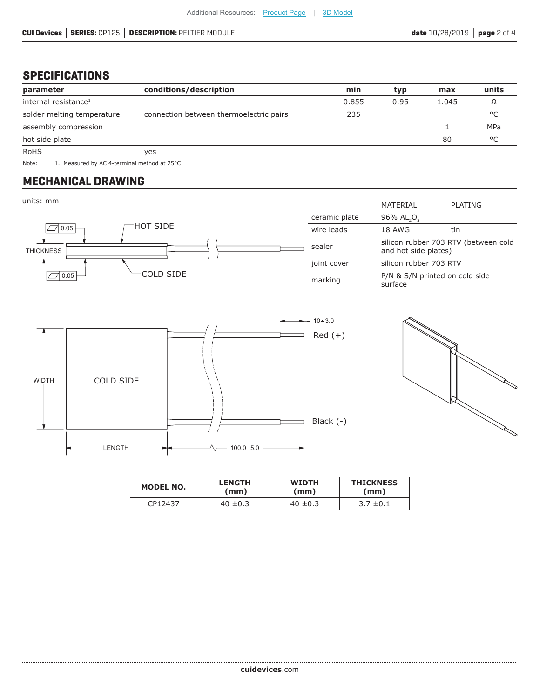#### **SPECIFICATIONS**

| parameter                        | conditions/description                  | min   | typ  | max   | units      |
|----------------------------------|-----------------------------------------|-------|------|-------|------------|
| internal resistance <sup>1</sup> |                                         | 0.855 | 0.95 | 1.045 |            |
| solder melting temperature       | connection between thermoelectric pairs | 235   |      |       | $\circ$    |
| assembly compression             |                                         |       |      |       | <b>MPa</b> |
| hot side plate                   |                                         |       |      | 80    | $\circ$    |
| <b>RoHS</b>                      | ves                                     |       |      |       |            |

Note: 1. Measured by AC 4-terminal method at 25°C

#### **MECHANICAL DRAWING**

.......................



| <b>MODEL NO.</b> | <b>LENGTH</b> | <b>WIDTH</b> | <b>THICKNESS</b> |
|------------------|---------------|--------------|------------------|
|                  | (mm)          | (mm)         | (mm)             |
| CP12437          | $40 \pm 0.3$  | $40 \pm 0.3$ | $3.7 \pm 0.1$    |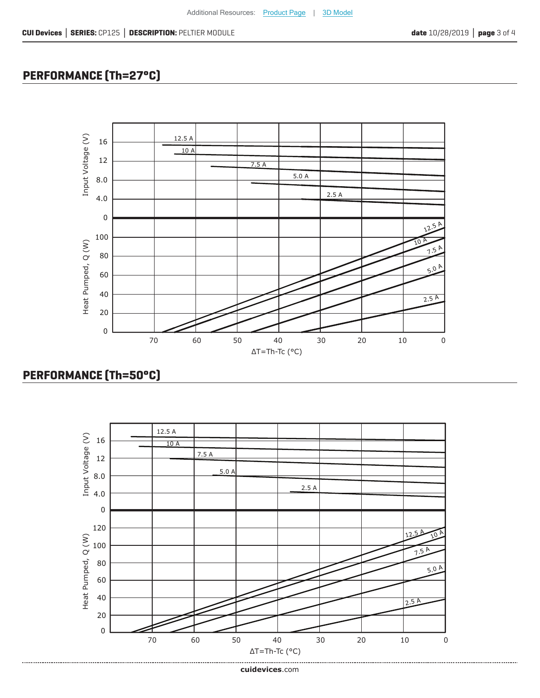# **PERFORMANCE (Th=27°C)**



## **PERFORMANCE (Th=50°C)**